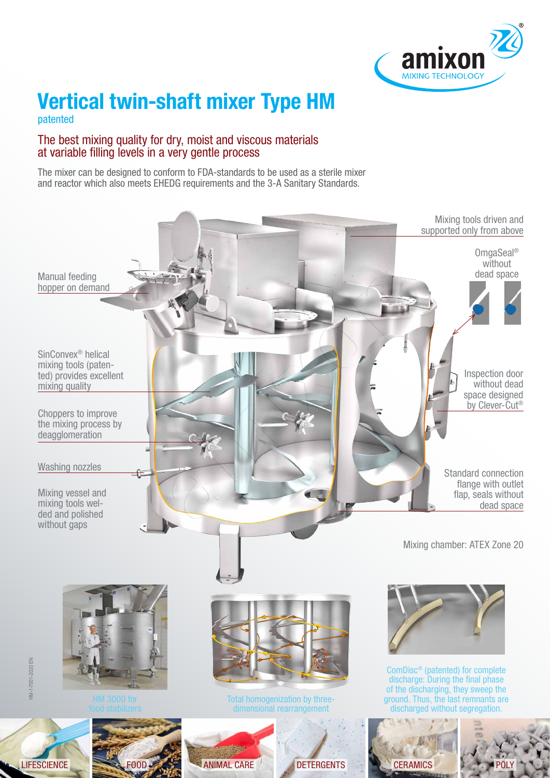

# **Vertical twin-shaft mixer Type HM**

patented

#### The best mixing quality for dry, moist and viscous materials at variable filling levels in a very gentle process

The mixer can be designed to conform to FDA-standards to be used as a sterile mixer and reactor which also meets EHEDG requirements and the 3-A Sanitary Standards.